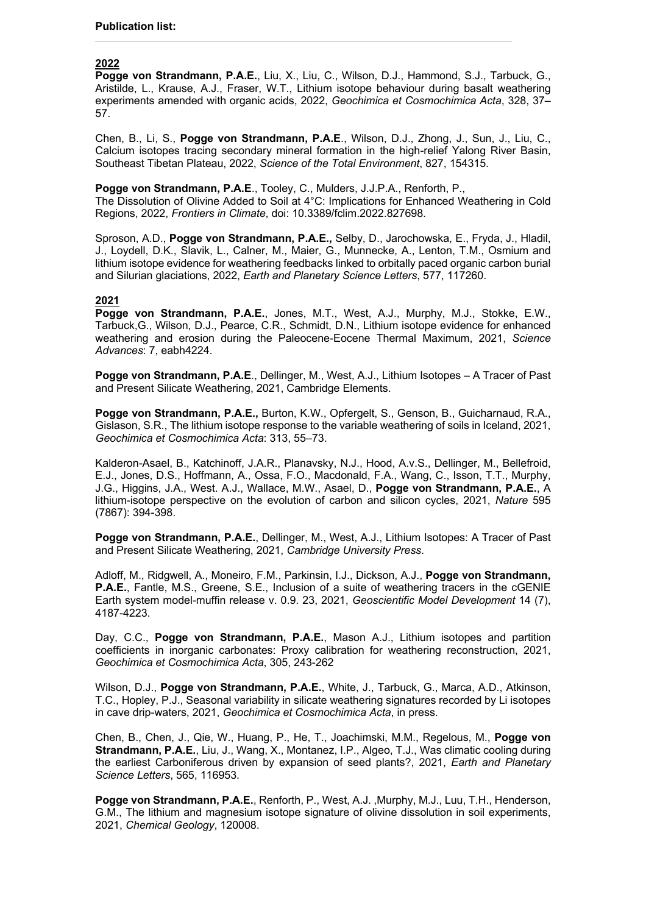## **2022**

**Pogge von Strandmann, P.A.E.**, Liu, X., Liu, C., Wilson, D.J., Hammond, S.J., Tarbuck, G., Aristilde, L., Krause, A.J., Fraser, W.T., Lithium isotope behaviour during basalt weathering experiments amended with organic acids, 2022, *Geochimica et Cosmochimica Acta*, 328, 37– 57.

Chen, B., Li, S., **Pogge von Strandmann, P.A.E**., Wilson, D.J., Zhong, J., Sun, J., Liu, C., Calcium isotopes tracing secondary mineral formation in the high-relief Yalong River Basin, Southeast Tibetan Plateau, 2022, *Science of the Total Environment*, 827, 154315.

#### **Pogge von Strandmann, P.A.E**., Tooley, C., Mulders, J.J.P.A., Renforth, P.,

The Dissolution of Olivine Added to Soil at 4°C: Implications for Enhanced Weathering in Cold Regions, 2022, *Frontiers in Climate*, doi: 10.3389/fclim.2022.827698.

Sproson, A.D., **Pogge von Strandmann, P.A.E.,** Selby, D., Jarochowska, E., Fryda, J., Hladil, J., Loydell, D.K., Slavik, L., Calner, M., Maier, G., Munnecke, A., Lenton, T.M., Osmium and lithium isotope evidence for weathering feedbacks linked to orbitally paced organic carbon burial and Silurian glaciations, 2022, *Earth and Planetary Science Letters*, 577, 117260.

## **2021**

**Pogge von Strandmann, P.A.E.**, Jones, M.T., West, A.J., Murphy, M.J., Stokke, E.W., Tarbuck,G., Wilson, D.J., Pearce, C.R., Schmidt, D.N., Lithium isotope evidence for enhanced weathering and erosion during the Paleocene-Eocene Thermal Maximum, 2021, *Science Advances*: 7, eabh4224.

Pogge von Strandmann, P.A.E., Dellinger, M., West, A.J., Lithium Isotopes - A Tracer of Past and Present Silicate Weathering, 2021, Cambridge Elements.

**Pogge von Strandmann, P.A.E.,** Burton, K.W., Opfergelt, S., Genson, B., Guicharnaud, R.A., Gislason, S.R., The lithium isotope response to the variable weathering of soils in Iceland, 2021, *Geochimica et Cosmochimica Acta*: 313, 55–73.

Kalderon-Asael, B., Katchinoff, J.A.R., Planavsky, N.J., Hood, A.v.S., Dellinger, M., Bellefroid, E.J., Jones, D.S., Hoffmann, A., Ossa, F.O., Macdonald, F.A., Wang, C., Isson, T.T., Murphy, J.G., Higgins, J.A., West. A.J., Wallace, M.W., Asael, D., **Pogge von Strandmann, P.A.E.**, A lithium-isotope perspective on the evolution of carbon and silicon cycles, 2021, *Nature* 595 (7867): 394-398.

**Pogge von Strandmann, P.A.E.**, Dellinger, M., West, A.J., Lithium Isotopes: A Tracer of Past and Present Silicate Weathering, 2021, *Cambridge University Press*.

Adloff, M., Ridgwell, A., Moneiro, F.M., Parkinsin, I.J., Dickson, A.J., **Pogge von Strandmann, P.A.E.**, Fantle, M.S., Greene, S.E., Inclusion of a suite of weathering tracers in the cGENIE Earth system model-muffin release v. 0.9. 23, 2021, *Geoscientific Model Development* 14 (7), 4187-4223.

Day, C.C., **Pogge von Strandmann, P.A.E.**, Mason A.J., Lithium isotopes and partition coefficients in inorganic carbonates: Proxy calibration for weathering reconstruction, 2021, *Geochimica et Cosmochimica Acta*, 305, 243-262

Wilson, D.J., **Pogge von Strandmann, P.A.E.**, White, J., Tarbuck, G., Marca, A.D., Atkinson, T.C., Hopley, P.J., Seasonal variability in silicate weathering signatures recorded by Li isotopes in cave drip-waters, 2021, *Geochimica et Cosmochimica Acta*, in press.

Chen, B., Chen, J., Qie, W., Huang, P., He, T., Joachimski, M.M., Regelous, M., **Pogge von Strandmann, P.A.E.**, Liu, J., Wang, X., Montanez, I.P., Algeo, T.J., Was climatic cooling during the earliest Carboniferous driven by expansion of seed plants?, 2021, *Earth and Planetary Science Letters*, 565, 116953.

Pogge von Strandmann, P.A.E., Renforth, P., West, A.J., Murphy, M.J., Luu, T.H., Henderson, G.M., The lithium and magnesium isotope signature of olivine dissolution in soil experiments, 2021, *Chemical Geology*, 120008.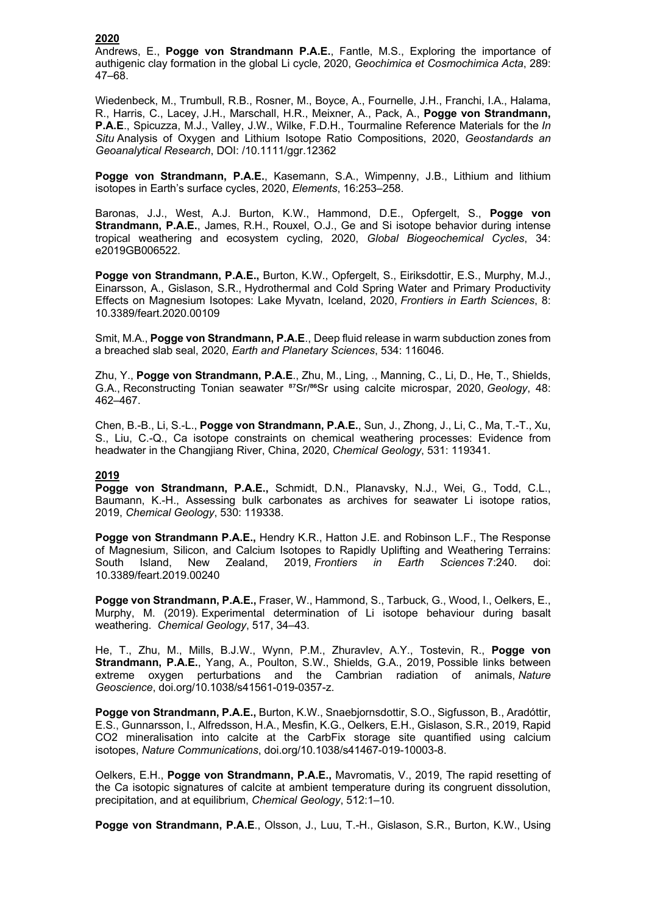## **2020**

Andrews, E., **Pogge von Strandmann P.A.E.**, Fantle, M.S., Exploring the importance of authigenic clay formation in the global Li cycle, 2020, *Geochimica et Cosmochimica Acta*, 289: 47–68.

Wiedenbeck, M., Trumbull, R.B., Rosner, M., Boyce, A., Fournelle, J.H., Franchi, I.A., Halama, R., Harris, C., Lacey, J.H., Marschall, H.R., Meixner, A., Pack, A., **Pogge von Strandmann, P.A.E**., Spicuzza, M.J., Valley, J.W., Wilke, F.D.H., Tourmaline Reference Materials for the *In Situ* Analysis of Oxygen and Lithium Isotope Ratio Compositions, 2020, *Geostandards an Geoanalytical Research*, DOI: /10.1111/ggr.12362

**Pogge von Strandmann, P.A.E.**, Kasemann, S.A., Wimpenny, J.B., Lithium and lithium isotopes in Earth's surface cycles, 2020, *Elements*, 16:253–258.

Baronas, J.J., West, A.J. Burton, K.W., Hammond, D.E., Opfergelt, S., **Pogge von Strandmann, P.A.E.**, James, R.H., Rouxel, O.J., Ge and Si isotope behavior during intense tropical weathering and ecosystem cycling, 2020, *Global Biogeochemical Cycles*, 34: e2019GB006522.

**Pogge von Strandmann, P.A.E.,** Burton, K.W., Opfergelt, S., Eiriksdottir, E.S., Murphy, M.J., Einarsson, A., Gislason, S.R., Hydrothermal and Cold Spring Water and Primary Productivity Effects on Magnesium Isotopes: Lake Myvatn, Iceland, 2020, *Frontiers in Earth Sciences*, 8: 10.3389/feart.2020.00109

Smit, M.A., **Pogge von Strandmann, P.A.E**., Deep fluid release in warm subduction zones from a breached slab seal, 2020, *Earth and Planetary Sciences*, 534: 116046.

Zhu, Y., **Pogge von Strandmann, P.A.E**., Zhu, M., Ling, ., Manning, C., Li, D., He, T., Shields, G.A., Reconstructing Tonian seawater <sup>87</sup>Sr/<sup>86</sup>Sr using calcite microspar, 2020, *Geology*, 48: 462–467.

Chen, B.-B., Li, S.-L., **Pogge von Strandmann, P.A.E.**, Sun, J., Zhong, J., Li, C., Ma, T.-T., Xu, S., Liu, C.-Q., Ca isotope constraints on chemical weathering processes: Evidence from headwater in the Changjiang River, China, 2020, *Chemical Geology*, 531: 119341.

# **2019**

**Pogge von Strandmann, P.A.E.,** Schmidt, D.N., Planavsky, N.J., Wei, G., Todd, C.L., Baumann, K.-H., Assessing bulk carbonates as archives for seawater Li isotope ratios, 2019, *Chemical Geology*, 530: 119338.

**Pogge von Strandmann P.A.E.,** Hendry K.R., Hatton J.E. and Robinson L.F., The Response of Magnesium, Silicon, and Calcium Isotopes to Rapidly Uplifting and Weathering Terrains: South Island, New Zealand, 2019, *Frontiers in Earth Sciences* 7:240. doi: 10.3389/feart.2019.00240

**Pogge von Strandmann, P.A.E.,** Fraser, W., Hammond, S., Tarbuck, G., Wood, I., Oelkers, E., Murphy, M. (2019). Experimental determination of Li isotope behaviour during basalt weathering. *Chemical Geology*, 517, 34–43.

He, T., Zhu, M., Mills, B.J.W., Wynn, P.M., Zhuravlev, A.Y., Tostevin, R., **Pogge von Strandmann, P.A.E.**, Yang, A., Poulton, S.W., Shields, G.A., 2019, Possible links between extreme oxygen perturbations and the Cambrian radiation of animals, *Nature Geoscience*, doi.org/10.1038/s41561-019-0357-z.

**Pogge von Strandmann, P.A.E.,** Burton, K.W., Snaebjornsdottir, S.O., Sigfusson, B., Aradóttir, E.S., Gunnarsson, I., Alfredsson, H.A., Mesfin, K.G., Oelkers, E.H., Gislason, S.R., 2019, Rapid CO2 mineralisation into calcite at the CarbFix storage site quantified using calcium isotopes, *Nature Communications*, doi.org/10.1038/s41467-019-10003-8.

Oelkers, E.H., **Pogge von Strandmann, P.A.E.,** Mavromatis, V., 2019, The rapid resetting of the Ca isotopic signatures of calcite at ambient temperature during its congruent dissolution, precipitation, and at equilibrium, *Chemical Geology*, 512:1–10.

**Pogge von Strandmann, P.A.E**., Olsson, J., Luu, T.-H., Gislason, S.R., Burton, K.W., Using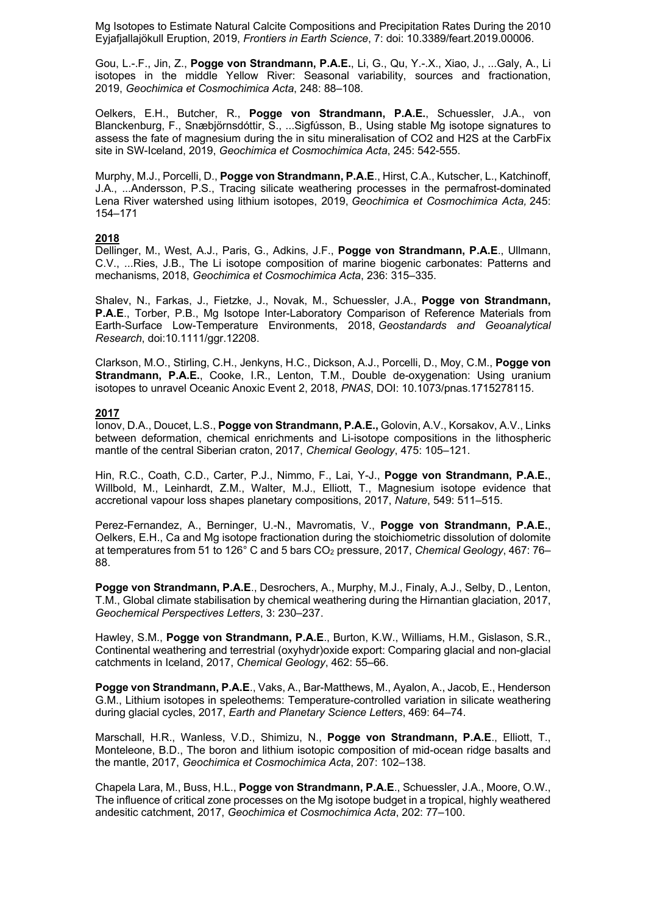Mg Isotopes to Estimate Natural Calcite Compositions and Precipitation Rates During the 2010 Eyjafjallajökull Eruption, 2019, *Frontiers in Earth Science*, 7: doi: 10.3389/feart.2019.00006.

Gou, L.-.F., Jin, Z., **Pogge von Strandmann, P.A.E.**, Li, G., Qu, Y.-.X., Xiao, J., ...Galy, A., Li isotopes in the middle Yellow River: Seasonal variability, sources and fractionation, 2019, *Geochimica et Cosmochimica Acta*, 248: 88–108.

Oelkers, E.H., Butcher, R., **Pogge von Strandmann, P.A.E.**, Schuessler, J.A., von Blanckenburg, F., Snæbjörnsdóttir, S., ...Sigfússon, B., Using stable Mg isotope signatures to assess the fate of magnesium during the in situ mineralisation of CO2 and H2S at the CarbFix site in SW-Iceland, 2019, *Geochimica et Cosmochimica Acta*, 245: 542-555.

Murphy, M.J., Porcelli, D., **Pogge von Strandmann, P.A.E**., Hirst, C.A., Kutscher, L., Katchinoff, J.A., ...Andersson, P.S., Tracing silicate weathering processes in the permafrost-dominated Lena River watershed using lithium isotopes, 2019, *Geochimica et Cosmochimica Acta,* 245: 154–171

## **2018**

Dellinger, M., West, A.J., Paris, G., Adkins, J.F., **Pogge von Strandmann, P.A.E**., Ullmann, C.V., ...Ries, J.B., The Li isotope composition of marine biogenic carbonates: Patterns and mechanisms, 2018, *Geochimica et Cosmochimica Acta*, 236: 315–335.

Shalev, N., Farkas, J., Fietzke, J., Novak, M., Schuessler, J.A., **Pogge von Strandmann, P.A.E**., Torber, P.B., Mg Isotope Inter-Laboratory Comparison of Reference Materials from Earth-Surface Low-Temperature Environments, 2018, *Geostandards and Geoanalytical Research*, doi:10.1111/ggr.12208.

Clarkson, M.O., Stirling, C.H., Jenkyns, H.C., Dickson, A.J., Porcelli, D., Moy, C.M., **Pogge von Strandmann, P.A.E.**, Cooke, I.R., Lenton, T.M., Double de-oxygenation: Using uranium isotopes to unravel Oceanic Anoxic Event 2, 2018, *PNAS*, DOI: 10.1073/pnas.1715278115.

## **2017**

Ionov, D.A., Doucet, L.S., **Pogge von Strandmann, P.A.E.,** Golovin, A.V., Korsakov, A.V., Links between deformation, chemical enrichments and Li-isotope compositions in the lithospheric mantle of the central Siberian craton, 2017, *Chemical Geology*, 475: 105–121.

Hin, R.C., Coath, C.D., Carter, P.J., Nimmo, F., Lai, Y-J., **Pogge von Strandmann, P.A.E.**, Willbold, M., Leinhardt, Z.M., Walter, M.J., Elliott, T., Magnesium isotope evidence that accretional vapour loss shapes planetary compositions, 2017, *Nature*, 549: 511–515.

Perez-Fernandez, A., Berninger, U.-N., Mavromatis, V., **Pogge von Strandmann, P.A.E.**, Oelkers, E.H., Ca and Mg isotope fractionation during the stoichiometric dissolution of dolomite at temperatures from 51 to 126° C and 5 bars CO2 pressure, 2017, *Chemical Geology*, 467: 76– 88.

**Pogge von Strandmann, P.A.E**., Desrochers, A., Murphy, M.J., Finaly, A.J., Selby, D., Lenton, T.M., Global climate stabilisation by chemical weathering during the Hirnantian glaciation, 2017, *Geochemical Perspectives Letters*, 3: 230–237.

Hawley, S.M., **Pogge von Strandmann, P.A.E**., Burton, K.W., Williams, H.M., Gislason, S.R., Continental weathering and terrestrial (oxyhydr)oxide export: Comparing glacial and non-glacial catchments in Iceland, 2017, *Chemical Geology*, 462: 55–66.

**Pogge von Strandmann, P.A.E**., Vaks, A., Bar-Matthews, M., Ayalon, A., Jacob, E., Henderson G.M., Lithium isotopes in speleothems: Temperature-controlled variation in silicate weathering during glacial cycles, 2017, *Earth and Planetary Science Letters*, 469: 64–74.

Marschall, H.R., Wanless, V.D., Shimizu, N., **Pogge von Strandmann, P.A.E**., Elliott, T., Monteleone, B.D., The boron and lithium isotopic composition of mid-ocean ridge basalts and the mantle, 2017, *Geochimica et Cosmochimica Acta*, 207: 102–138.

Chapela Lara, M., Buss, H.L., **Pogge von Strandmann, P.A.E**., Schuessler, J.A., Moore, O.W., The influence of critical zone processes on the Mg isotope budget in a tropical, highly weathered andesitic catchment, 2017, *Geochimica et Cosmochimica Acta*, 202: 77–100.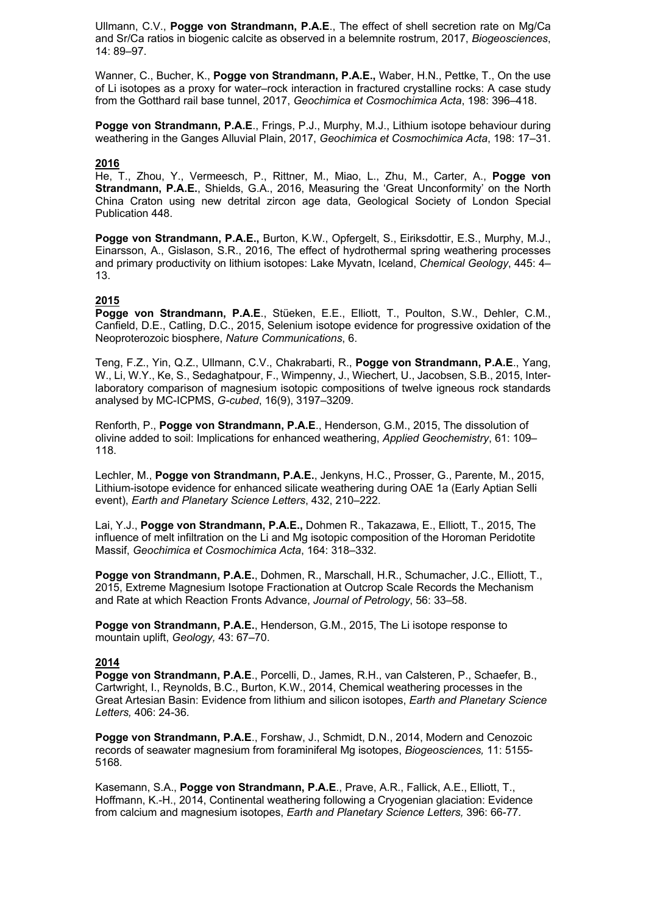Ullmann, C.V., **Pogge von Strandmann, P.A.E**., The effect of shell secretion rate on Mg/Ca and Sr/Ca ratios in biogenic calcite as observed in a belemnite rostrum, 2017, *Biogeosciences*, 14: 89–97.

Wanner, C., Bucher, K., **Pogge von Strandmann, P.A.E.,** Waber, H.N., Pettke, T., On the use of Li isotopes as a proxy for water–rock interaction in fractured crystalline rocks: A case study from the Gotthard rail base tunnel, 2017, *Geochimica et Cosmochimica Acta*, 198: 396–418.

**Pogge von Strandmann, P.A.E**., Frings, P.J., Murphy, M.J., Lithium isotope behaviour during weathering in the Ganges Alluvial Plain, 2017, *Geochimica et Cosmochimica Acta*, 198: 17–31.

#### **2016**

He, T., Zhou, Y., Vermeesch, P., Rittner, M., Miao, L., Zhu, M., Carter, A., **Pogge von Strandmann, P.A.E.**, Shields, G.A., 2016, Measuring the 'Great Unconformity' on the North China Craton using new detrital zircon age data, Geological Society of London Special Publication 448.

**Pogge von Strandmann, P.A.E.,** Burton, K.W., Opfergelt, S., Eiriksdottir, E.S., Murphy, M.J., Einarsson, A., Gislason, S.R., 2016, The effect of hydrothermal spring weathering processes and primary productivity on lithium isotopes: Lake Myvatn, Iceland, *Chemical Geology*, 445: 4– 13.

## **2015**

**Pogge von Strandmann, P.A.E**., Stüeken, E.E., Elliott, T., Poulton, S.W., Dehler, C.M., Canfield, D.E., Catling, D.C., 2015, Selenium isotope evidence for progressive oxidation of the Neoproterozoic biosphere, *Nature Communications*, 6.

Teng, F.Z., Yin, Q.Z., Ullmann, C.V., Chakrabarti, R., **Pogge von Strandmann, P.A.E**., Yang, W., Li, W.Y., Ke, S., Sedaghatpour, F., Wimpenny, J., Wiechert, U., Jacobsen, S.B., 2015, Interlaboratory comparison of magnesium isotopic compositions of twelve igneous rock standards analysed by MC-ICPMS, *G-cubed*, 16(9), 3197–3209.

Renforth, P., **Pogge von Strandmann, P.A.E**., Henderson, G.M., 2015, The dissolution of olivine added to soil: Implications for enhanced weathering, *Applied Geochemistry*, 61: 109– 118.

Lechler, M., **Pogge von Strandmann, P.A.E.**, Jenkyns, H.C., Prosser, G., Parente, M., 2015, Lithium-isotope evidence for enhanced silicate weathering during OAE 1a (Early Aptian Selli event), *Earth and Planetary Science Letters*, 432, 210–222.

Lai, Y.J., **Pogge von Strandmann, P.A.E.,** Dohmen R., Takazawa, E., Elliott, T., 2015, The influence of melt infiltration on the Li and Mg isotopic composition of the Horoman Peridotite Massif, *Geochimica et Cosmochimica Acta*, 164: 318–332.

**Pogge von Strandmann, P.A.E.**, Dohmen, R., Marschall, H.R., Schumacher, J.C., Elliott, T., 2015, Extreme Magnesium Isotope Fractionation at Outcrop Scale Records the Mechanism and Rate at which Reaction Fronts Advance, *Journal of Petrology*, 56: 33–58.

**Pogge von Strandmann, P.A.E.**, Henderson, G.M., 2015, The Li isotope response to mountain uplift, *Geology,* 43: 67–70.

#### **2014**

**Pogge von Strandmann, P.A.E**., Porcelli, D., James, R.H., van Calsteren, P., Schaefer, B., Cartwright, I., Reynolds, B.C., Burton, K.W., 2014, Chemical weathering processes in the Great Artesian Basin: Evidence from lithium and silicon isotopes, *Earth and Planetary Science Letters,* 406: 24-36*.*

**Pogge von Strandmann, P.A.E**., Forshaw, J., Schmidt, D.N., 2014, Modern and Cenozoic records of seawater magnesium from foraminiferal Mg isotopes, *Biogeosciences,* 11: 5155- 5168*.*

Kasemann, S.A., **Pogge von Strandmann, P.A.E**., Prave, A.R., Fallick, A.E., Elliott, T., Hoffmann, K.-H., 2014, Continental weathering following a Cryogenian glaciation: Evidence from calcium and magnesium isotopes, *Earth and Planetary Science Letters,* 396: 66-77*.*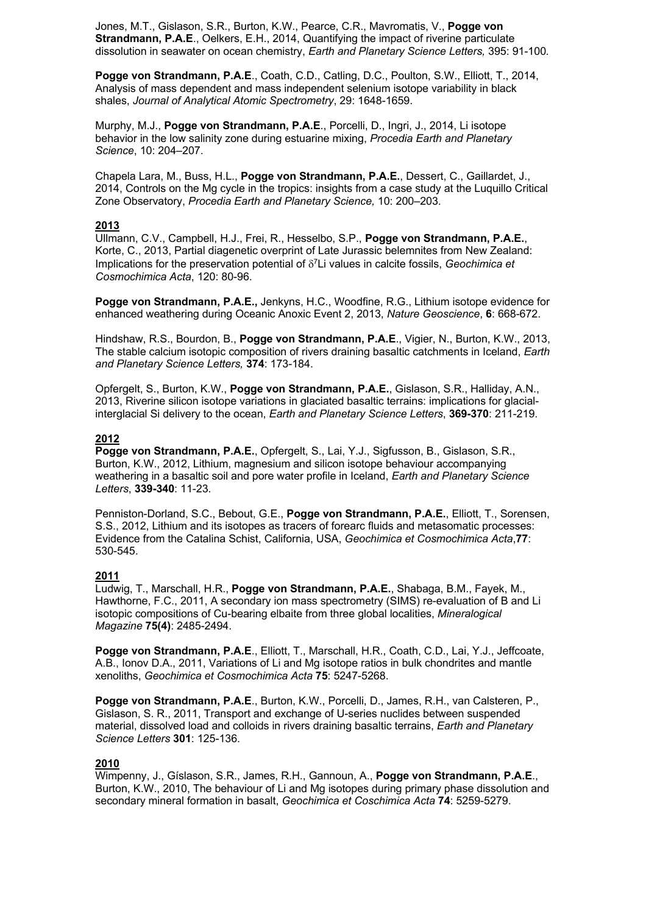Jones, M.T., Gislason, S.R., Burton, K.W., Pearce, C.R., Mavromatis, V., **Pogge von Strandmann, P.A.E**., Oelkers, E.H., 2014, Quantifying the impact of riverine particulate dissolution in seawater on ocean chemistry, *Earth and Planetary Science Letters,* 395: 91-100*.*

**Pogge von Strandmann, P.A.E**., Coath, C.D., Catling, D.C., Poulton, S.W., Elliott, T., 2014, Analysis of mass dependent and mass independent selenium isotope variability in black shales, *Journal of Analytical Atomic Spectrometry*, 29: 1648-1659.

Murphy, M.J., **Pogge von Strandmann, P.A.E**., Porcelli, D., Ingri, J., 2014, Li isotope behavior in the low salinity zone during estuarine mixing, *Procedia Earth and Planetary Science*, 10: 204–207.

Chapela Lara, M., Buss, H.L., **Pogge von Strandmann, P.A.E.**, Dessert, C., Gaillardet, J., 2014, Controls on the Mg cycle in the tropics: insights from a case study at the Luquillo Critical Zone Observatory, *Procedia Earth and Planetary Science,* 10: 200–203.

# **2013**

Ullmann, C.V., Campbell, H.J., Frei, R., Hesselbo, S.P., **Pogge von Strandmann, P.A.E.**, Korte, C., 2013, Partial diagenetic overprint of Late Jurassic belemnites from New Zealand: Implications for the preservation potential of  $\delta^7$ Li values in calcite fossils, *Geochimica et Cosmochimica Acta*, 120: 80-96.

**Pogge von Strandmann, P.A.E.,** Jenkyns, H.C., Woodfine, R.G., Lithium isotope evidence for enhanced weathering during Oceanic Anoxic Event 2, 2013, *Nature Geoscience*, **6**: 668-672.

Hindshaw, R.S., Bourdon, B., **Pogge von Strandmann, P.A.E**., Vigier, N., Burton, K.W., 2013, The stable calcium isotopic composition of rivers draining basaltic catchments in Iceland, *Earth and Planetary Science Letters,* **374**: 173-184.

Opfergelt, S., Burton, K.W., **Pogge von Strandmann, P.A.E.**, Gislason, S.R., Halliday, A.N., 2013, Riverine silicon isotope variations in glaciated basaltic terrains: implications for glacialinterglacial Si delivery to the ocean, *Earth and Planetary Science Letters*, **369-370**: 211-219.

## **2012**

**Pogge von Strandmann, P.A.E.**, Opfergelt, S., Lai, Y.J., Sigfusson, B., Gislason, S.R., Burton, K.W., 2012, Lithium, magnesium and silicon isotope behaviour accompanying weathering in a basaltic soil and pore water profile in Iceland, *Earth and Planetary Science Letters*, **339-340**: 11-23.

Penniston-Dorland, S.C., Bebout, G.E., **Pogge von Strandmann, P.A.E.**, Elliott, T., Sorensen, S.S., 2012, Lithium and its isotopes as tracers of forearc fluids and metasomatic processes: Evidence from the Catalina Schist, California, USA, *Geochimica et Cosmochimica Acta*,**77**: 530-545.

#### **2011**

Ludwig, T., Marschall, H.R., **Pogge von Strandmann, P.A.E.**, Shabaga, B.M., Fayek, M., Hawthorne, F.C., 2011, A secondary ion mass spectrometry (SIMS) re-evaluation of B and Li isotopic compositions of Cu-bearing elbaite from three global localities, *Mineralogical Magazine* **75(4)**: 2485-2494.

**Pogge von Strandmann, P.A.E**., Elliott, T., Marschall, H.R., Coath, C.D., Lai, Y.J., Jeffcoate, A.B., Ionov D.A., 2011, Variations of Li and Mg isotope ratios in bulk chondrites and mantle xenoliths, *Geochimica et Cosmochimica Acta* **75**: 5247-5268.

**Pogge von Strandmann, P.A.E**., Burton, K.W., Porcelli, D., James, R.H., van Calsteren, P., Gislason, S. R., 2011, Transport and exchange of U-series nuclides between suspended material, dissolved load and colloids in rivers draining basaltic terrains, *Earth and Planetary Science Letters* **301**: 125-136.

#### **2010**

Wimpenny, J., Gíslason, S.R., James, R.H., Gannoun, A., **Pogge von Strandmann, P.A.E**., Burton, K.W., 2010, The behaviour of Li and Mg isotopes during primary phase dissolution and secondary mineral formation in basalt, *Geochimica et Coschimica Acta* **74**: 5259-5279.